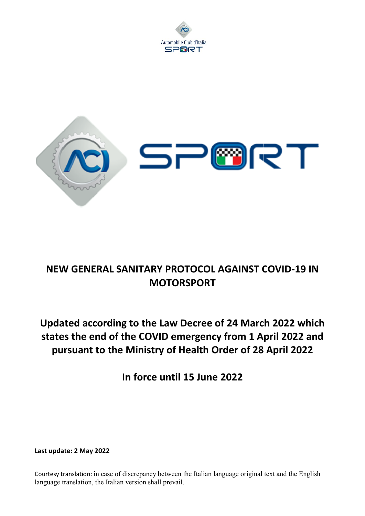



## NEW GENERAL SANITARY PROTOCOL AGAINST COVID-19 IN

# Updated according to the Law Decree of 24 March 2022 which Updated according to the Law Decree of 24 March 2022 which<br>states the end of the COVID emergency from 1 April 2022 and pursuant to the Ministry of Health Order of 28 April 2022 M GENERAL SANITARY PROTOCOL AGAINST<br>
MOTORSPORT<br>
ated according to the Law Decree of 24 Marc<br>
ars the end of the COVID emergency from 1 A<br>
arsuant to the Ministry of Health Order of 28<br>
In force until 15 June 2022<br>
ate: 2

In force until 15 June 2022

Last update: 2 May 2022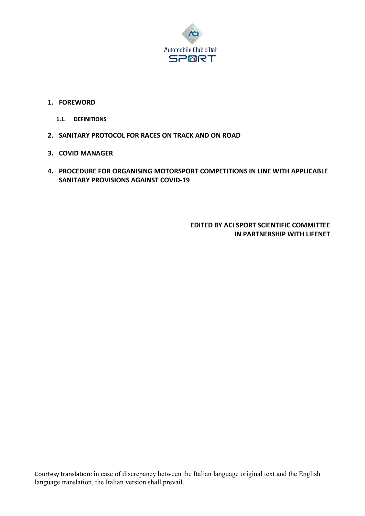

#### 1. FOREWORD

- 1.1. DEFINITIONS
- 2. SANITARY PROTOCOL FOR RACES ON TRACK AND ON ROAD
- 3. COVID MANAGER
- 4. PROCEDURE FOR ORGANISING MOTORSPORT COMPETITIONS IN LINE WITH APPLICABLE SANITARY PROVISIONS AGAINST COVID-19

EDITED BY ACI SPORT SCIENTIFIC COMMITTEE IN PARTNERSHIP WITH LIFENET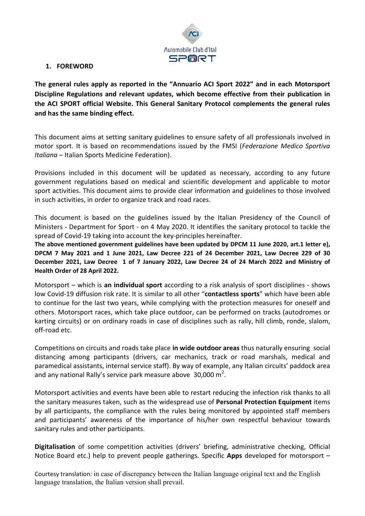

#### 1. FOREWORD

The general rules apply as reported in the "Annuario ACI Sport 2022" and in each Motorsport Discipline Regulations and relevant updates, which become effective from their publication in the ACI SPORT official Website. This General Sanitary Protocol complements the general rules and has the same binding effect.

This document aims at setting sanitary guidelines to ensure safety of all professionals involved in motor sport. It is based on recommendations issued by the FMSI (Federazione Medico Sportiva Italiana – Italian Sports Medicine Federation).

Provisions included in this document will be updated as necessary, according to any future government regulations based on medical and scientific development and applicable to motor sport activities. This document aims to provide clear information and guidelines to those involved in such activities, in order to organize track and road races.

This document is based on the guidelines issued by the Italian Presidency of the Council of Ministers - Department for Sport - on 4 May 2020. It identifies the sanitary protocol to tackle the spread of Covid-19 taking into account the key-principles hereinafter.

The above mentioned government guidelines have been updated by DPCM 11 June 2020, art.1 letter e), DPCM 7 May 2021 and 1 June 2021, Law Decree 221 of 24 December 2021, Law Decree 229 of 30 December 2021, Law Decree 1 of 7 January 2022, Law Decree 24 of 24 March 2022 and Ministry of Health Order of 28 April 2022.

Motorsport – which is an individual sport according to a risk analysis of sport disciplines - shows low Covid-19 diffusion risk rate. It is similar to all other "contactless sports" which have been able to continue for the last two years, while complying with the protection measures for oneself and others. Motorsport races, which take place outdoor, can be performed on tracks (autodromes or karting circuits) or on ordinary roads in case of disciplines such as rally, hill climb, ronde, slalom, off-road etc.

Competitions on circuits and roads take place in wide outdoor areas thus naturally ensuring social distancing among participants (drivers, car mechanics, track or road marshals, medical and paramedical assistants, internal service staff). By way of example, any Italian circuits' paddock area and any national Rally's service park measure above  $30,000 \text{ m}^2$ .

Motorsport activities and events have been able to restart reducing the infection risk thanks to all the sanitary measures taken, such as the widespread use of Personal Protection Equipment items by all participants, the compliance with the rules being monitored by appointed staff members and participants' awareness of the importance of his/her own respectful behaviour towards sanitary rules and other participants.

Digitalisation of some competition activities (drivers' briefing, administrative checking, Official Notice Board etc.) help to prevent people gatherings. Specific **Apps** developed for motorsport  $-$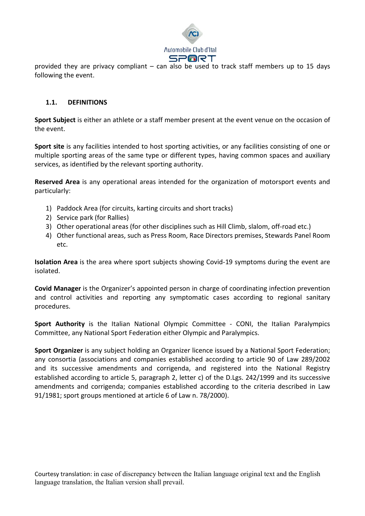

provided they are privacy compliant – can also be used to track staff members up to 15 days following the event.

#### 1.1. DEFINITIONS

Sport Subject is either an athlete or a staff member present at the event venue on the occasion of the event.

Sport site is any facilities intended to host sporting activities, or any facilities consisting of one or multiple sporting areas of the same type or different types, having common spaces and auxiliary services, as identified by the relevant sporting authority.

Reserved Area is any operational areas intended for the organization of motorsport events and particularly:

- 1) Paddock Area (for circuits, karting circuits and short tracks)
- 2) Service park (for Rallies)
- 3) Other operational areas (for other disciplines such as Hill Climb, slalom, off-road etc.)
- 4) Other functional areas, such as Press Room, Race Directors premises, Stewards Panel Room etc.

Isolation Area is the area where sport subjects showing Covid-19 symptoms during the event are isolated.

Covid Manager is the Organizer's appointed person in charge of coordinating infection prevention and control activities and reporting any symptomatic cases according to regional sanitary procedures.

Sport Authority is the Italian National Olympic Committee - CONI, the Italian Paralympics Committee, any National Sport Federation either Olympic and Paralympics.

Sport Organizer is any subject holding an Organizer licence issued by a National Sport Federation; any consortia (associations and companies established according to article 90 of Law 289/2002 and its successive amendments and corrigenda, and registered into the National Registry established according to article 5, paragraph 2, letter c) of the D.Lgs. 242/1999 and its successive amendments and corrigenda; companies established according to the criteria described in Law 91/1981; sport groups mentioned at article 6 of Law n. 78/2000).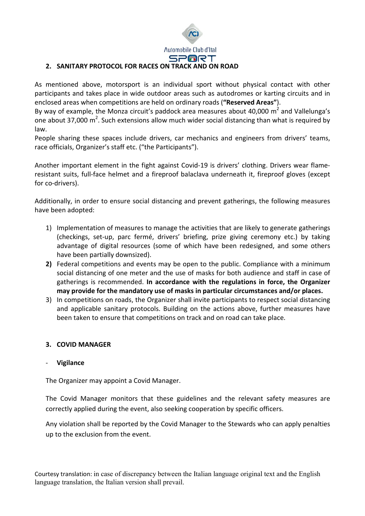Automobile Club d'Ital **SPORT** 

#### 2. SANITARY PROTOCOL FOR RACES ON TRACK AND ON ROAD

As mentioned above, motorsport is an individual sport without physical contact with other participants and takes place in wide outdoor areas such as autodromes or karting circuits and in enclosed areas when competitions are held on ordinary roads ("Reserved Areas").

By way of example, the Monza circuit's paddock area measures about 40,000  $m^2$  and Vallelunga's one about 37,000  $m^2$ . Such extensions allow much wider social distancing than what is required by law.

People sharing these spaces include drivers, car mechanics and engineers from drivers' teams, race officials, Organizer's staff etc. ("the Participants").

Another important element in the fight against Covid-19 is drivers' clothing. Drivers wear flameresistant suits, full-face helmet and a fireproof balaclava underneath it, fireproof gloves (except for co-drivers).

Additionally, in order to ensure social distancing and prevent gatherings, the following measures have been adopted:

- 1) Implementation of measures to manage the activities that are likely to generate gatherings (checkings, set-up, parc fermé, drivers' briefing, prize giving ceremony etc.) by taking advantage of digital resources (some of which have been redesigned, and some others have been partially downsized).
- 2) Federal competitions and events may be open to the public. Compliance with a minimum social distancing of one meter and the use of masks for both audience and staff in case of gatherings is recommended. In accordance with the regulations in force, the Organizer may provide for the mandatory use of masks in particular circumstances and/or places.
- 3) In competitions on roads, the Organizer shall invite participants to respect social distancing and applicable sanitary protocols. Building on the actions above, further measures have been taken to ensure that competitions on track and on road can take place.

#### 3. COVID MANAGER

#### **Vigilance**

The Organizer may appoint a Covid Manager.

The Covid Manager monitors that these guidelines and the relevant safety measures are correctly applied during the event, also seeking cooperation by specific officers.

Any violation shall be reported by the Covid Manager to the Stewards who can apply penalties up to the exclusion from the event.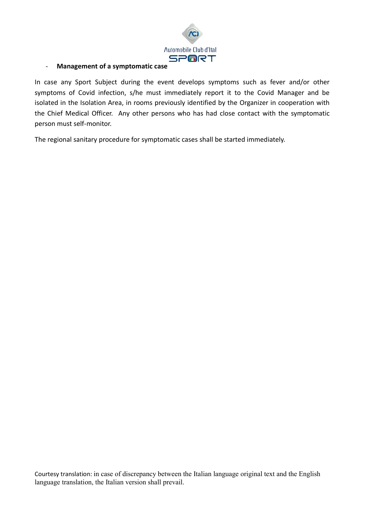

#### - Management of a symptomatic case

In case any Sport Subject during the event develops symptoms such as fever and/or other symptoms of Covid infection, s/he must immediately report it to the Covid Manager and be isolated in the Isolation Area, in rooms previously identified by the Organizer in cooperation with the Chief Medical Officer. Any other persons who has had close contact with the symptomatic person must self-monitor.

The regional sanitary procedure for symptomatic cases shall be started immediately.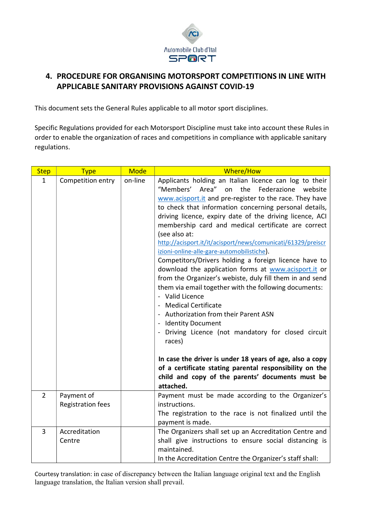

### 4. PROCEDURE FOR ORGANISING MOTORSPORT COMPETITIONS IN LINE WITH APPLICABLE SANITARY PROVISIONS AGAINST COVID-19

This document sets the General Rules applicable to all motor sport disciplines.

Specific Regulations provided for each Motorsport Discipline must take into account these Rules in order to enable the organization of races and competitions in compliance with applicable sanitary regulations.

| <b>Step</b>    | <b>Type</b>                            | <b>Mode</b> | Where/How                                                                                                                                                                                                                                                                                                                                                                                                                                                                                                                                                                                                                                                                                                                                                                                                                                                                                                                                                                                                                                                                                 |
|----------------|----------------------------------------|-------------|-------------------------------------------------------------------------------------------------------------------------------------------------------------------------------------------------------------------------------------------------------------------------------------------------------------------------------------------------------------------------------------------------------------------------------------------------------------------------------------------------------------------------------------------------------------------------------------------------------------------------------------------------------------------------------------------------------------------------------------------------------------------------------------------------------------------------------------------------------------------------------------------------------------------------------------------------------------------------------------------------------------------------------------------------------------------------------------------|
| $\mathbf{1}$   | Competition entry                      | on-line     | Applicants holding an Italian licence can log to their<br>"Members' Area" on the Federazione<br>website<br>www.acisport.it and pre-register to the race. They have<br>to check that information concerning personal details,<br>driving licence, expiry date of the driving licence, ACI<br>membership card and medical certificate are correct<br>(see also at:<br>http://acisport.it/it/acisport/news/comunicati/61329/preiscr<br>izioni-online-alle-gare-automobilistiche).<br>Competitors/Drivers holding a foreign licence have to<br>download the application forms at www.acisport.it or<br>from the Organizer's webiste, duly fill them in and send<br>them via email together with the following documents:<br>- Valid Licence<br>- Medical Certificate<br>- Authorization from their Parent ASN<br>- Identity Document<br>- Driving Licence (not mandatory for closed circuit<br>races)<br>In case the driver is under 18 years of age, also a copy<br>of a certificate stating parental responsibility on the<br>child and copy of the parents' documents must be<br>attached. |
| $\overline{2}$ | Payment of<br><b>Registration fees</b> |             | Payment must be made according to the Organizer's<br>instructions.<br>The registration to the race is not finalized until the<br>payment is made.                                                                                                                                                                                                                                                                                                                                                                                                                                                                                                                                                                                                                                                                                                                                                                                                                                                                                                                                         |
| 3              | Accreditation<br>Centre                |             | The Organizers shall set up an Accreditation Centre and<br>shall give instructions to ensure social distancing is<br>maintained.<br>In the Accreditation Centre the Organizer's staff shall:                                                                                                                                                                                                                                                                                                                                                                                                                                                                                                                                                                                                                                                                                                                                                                                                                                                                                              |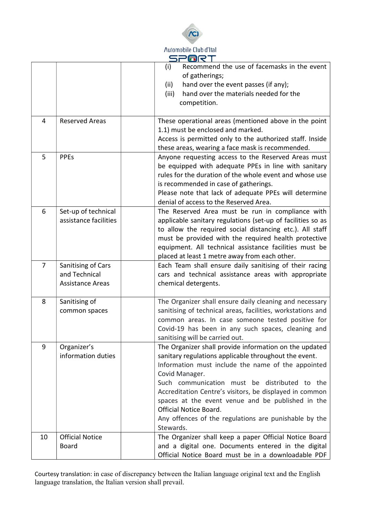

|                |                                                                | > التقام                                                                                                                                                                                                                                                                                                                                                                                                                                                        |
|----------------|----------------------------------------------------------------|-----------------------------------------------------------------------------------------------------------------------------------------------------------------------------------------------------------------------------------------------------------------------------------------------------------------------------------------------------------------------------------------------------------------------------------------------------------------|
|                |                                                                | Recommend the use of facemasks in the event<br>(i)<br>of gatherings;<br>hand over the event passes (if any);<br>(ii)<br>hand over the materials needed for the<br>(iii)<br>competition.                                                                                                                                                                                                                                                                         |
| 4              | <b>Reserved Areas</b>                                          | These operational areas (mentioned above in the point<br>1.1) must be enclosed and marked.<br>Access is permitted only to the authorized staff. Inside<br>these areas, wearing a face mask is recommended.                                                                                                                                                                                                                                                      |
| 5              | <b>PPEs</b>                                                    | Anyone requesting access to the Reserved Areas must<br>be equipped with adequate PPEs in line with sanitary<br>rules for the duration of the whole event and whose use<br>is recommended in case of gatherings.<br>Please note that lack of adequate PPEs will determine<br>denial of access to the Reserved Area.                                                                                                                                              |
| 6              | Set-up of technical<br>assistance facilities                   | The Reserved Area must be run in compliance with<br>applicable sanitary regulations (set-up of facilities so as<br>to allow the required social distancing etc.). All staff<br>must be provided with the required health protective<br>equipment. All technical assistance facilities must be<br>placed at least 1 metre away from each other.                                                                                                                  |
| $\overline{7}$ | Sanitising of Cars<br>and Technical<br><b>Assistance Areas</b> | Each Team shall ensure daily sanitising of their racing<br>cars and technical assistance areas with appropriate<br>chemical detergents.                                                                                                                                                                                                                                                                                                                         |
| 8              | Sanitising of<br>common spaces                                 | The Organizer shall ensure daily cleaning and necessary<br>sanitising of technical areas, facilities, workstations and<br>common areas. In case someone tested positive for<br>Covid-19 has been in any such spaces, cleaning and<br>sanitising will be carried out.                                                                                                                                                                                            |
| 9              | Organizer's<br>information duties                              | The Organizer shall provide information on the updated<br>sanitary regulations applicable throughout the event.<br>Information must include the name of the appointed<br>Covid Manager.<br>Such communication must be distributed to the<br>Accreditation Centre's visitors, be displayed in common<br>spaces at the event venue and be published in the<br><b>Official Notice Board.</b><br>Any offences of the regulations are punishable by the<br>Stewards. |
| 10             | <b>Official Notice</b><br><b>Board</b>                         | The Organizer shall keep a paper Official Notice Board<br>and a digital one. Documents entered in the digital<br>Official Notice Board must be in a downloadable PDF                                                                                                                                                                                                                                                                                            |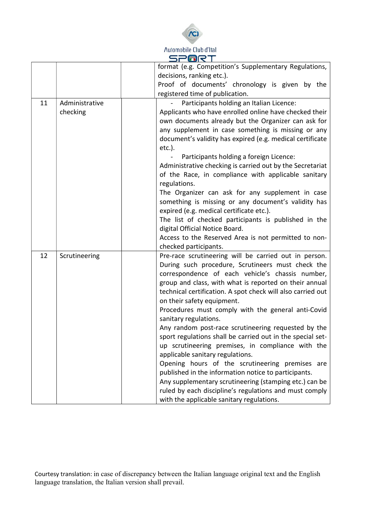

|    |                | - 181                                                       |
|----|----------------|-------------------------------------------------------------|
|    |                | format (e.g. Competition's Supplementary Regulations,       |
|    |                | decisions, ranking etc.).                                   |
|    |                | Proof of documents' chronology is given by the              |
|    |                | registered time of publication.                             |
| 11 | Administrative | Participants holding an Italian Licence:                    |
|    | checking       | Applicants who have enrolled online have checked their      |
|    |                | own documents already but the Organizer can ask for         |
|    |                | any supplement in case something is missing or any          |
|    |                | document's validity has expired (e.g. medical certificate   |
|    |                | $etc.$ ).                                                   |
|    |                | Participants holding a foreign Licence:                     |
|    |                | Administrative checking is carried out by the Secretariat   |
|    |                | of the Race, in compliance with applicable sanitary         |
|    |                | regulations.                                                |
|    |                | The Organizer can ask for any supplement in case            |
|    |                | something is missing or any document's validity has         |
|    |                | expired (e.g. medical certificate etc.).                    |
|    |                | The list of checked participants is published in the        |
|    |                | digital Official Notice Board.                              |
|    |                | Access to the Reserved Area is not permitted to non-        |
|    |                | checked participants.                                       |
| 12 | Scrutineering  | Pre-race scrutineering will be carried out in person.       |
|    |                | During such procedure, Scrutineers must check the           |
|    |                | correspondence of each vehicle's chassis number,            |
|    |                | group and class, with what is reported on their annual      |
|    |                | technical certification. A spot check will also carried out |
|    |                | on their safety equipment.                                  |
|    |                | Procedures must comply with the general anti-Covid          |
|    |                | sanitary regulations.                                       |
|    |                | Any random post-race scrutineering requested by the         |
|    |                | sport regulations shall be carried out in the special set-  |
|    |                | up scrutineering premises, in compliance with the           |
|    |                | applicable sanitary regulations.                            |
|    |                | Opening hours of the scrutineering premises are             |
|    |                | published in the information notice to participants.        |
|    |                | Any supplementary scrutineering (stamping etc.) can be      |
|    |                | ruled by each discipline's regulations and must comply      |
|    |                | with the applicable sanitary regulations.                   |